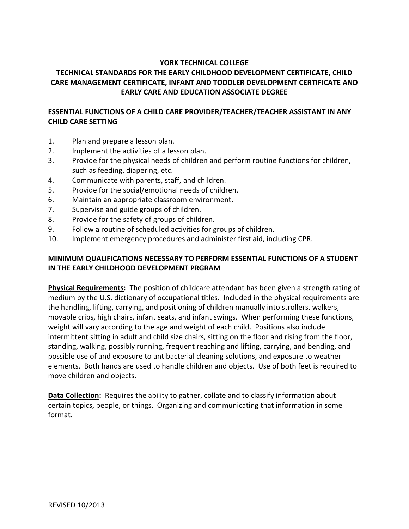#### **YORK TECHNICAL COLLEGE**

# **TECHNICAL STANDARDS FOR THE EARLY CHILDHOOD DEVELOPMENT CERTIFICATE, CHILD CARE MANAGEMENT CERTIFICATE, INFANT AND TODDLER DEVELOPMENT CERTIFICATE AND EARLY CARE AND EDUCATION ASSOCIATE DEGREE**

### **ESSENTIAL FUNCTIONS OF A CHILD CARE PROVIDER/TEACHER/TEACHER ASSISTANT IN ANY CHILD CARE SETTING**

- 1. Plan and prepare a lesson plan.
- 2. Implement the activities of a lesson plan.
- 3. Provide for the physical needs of children and perform routine functions for children, such as feeding, diapering, etc.
- 4. Communicate with parents, staff, and children.
- 5. Provide for the social/emotional needs of children.
- 6. Maintain an appropriate classroom environment.
- 7. Supervise and guide groups of children.
- 8. Provide for the safety of groups of children.
- 9. Follow a routine of scheduled activities for groups of children.
- 10. Implement emergency procedures and administer first aid, including CPR.

### **MINIMUM QUALIFICATIONS NECESSARY TO PERFORM ESSENTIAL FUNCTIONS OF A STUDENT IN THE EARLY CHILDHOOD DEVELOPMENT PRGRAM**

**Physical Requirements:** The position of childcare attendant has been given a strength rating of medium by the U.S. dictionary of occupational titles. Included in the physical requirements are the handling, lifting, carrying, and positioning of children manually into strollers, walkers, movable cribs, high chairs, infant seats, and infant swings. When performing these functions, weight will vary according to the age and weight of each child. Positions also include intermittent sitting in adult and child size chairs, sitting on the floor and rising from the floor, standing, walking, possibly running, frequent reaching and lifting, carrying, and bending, and possible use of and exposure to antibacterial cleaning solutions, and exposure to weather elements. Both hands are used to handle children and objects. Use of both feet is required to move children and objects.

**Data Collection:** Requires the ability to gather, collate and to classify information about certain topics, people, or things. Organizing and communicating that information in some format.